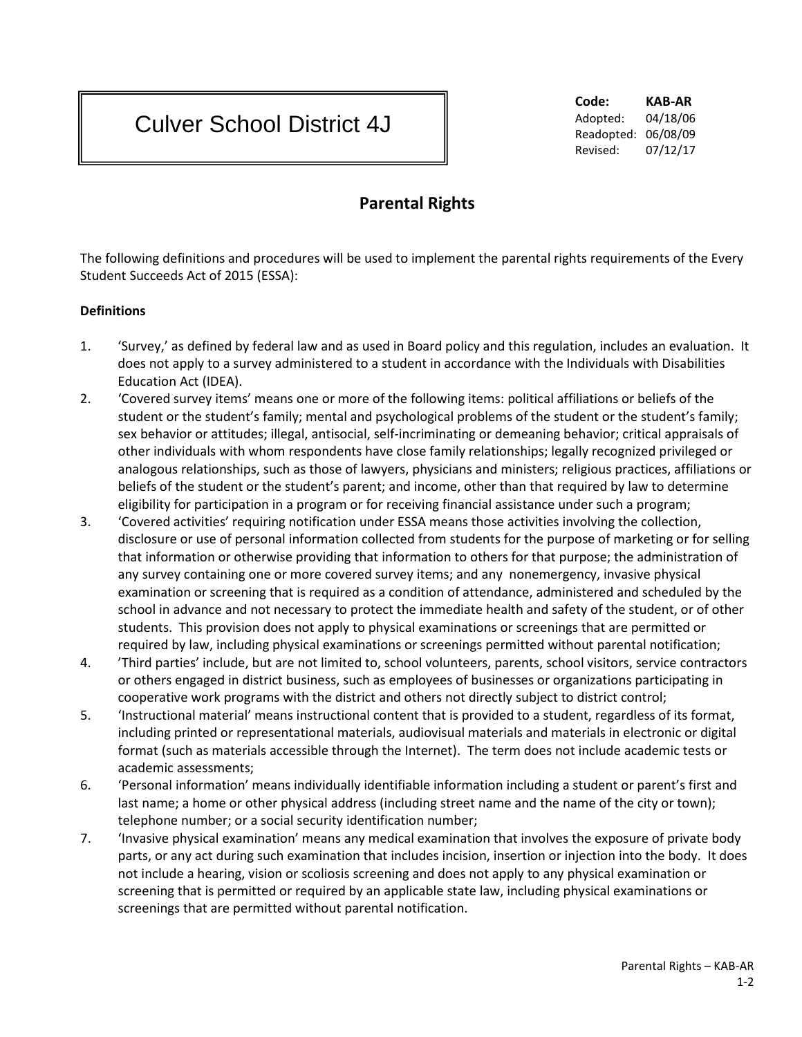# Culver School District 4J

**Code: KAB-AR** Adopted: 04/18/06 Readopted: 06/08/09 Revised: 07/12/17

# **Parental Rights**

The following definitions and procedures will be used to implement the parental rights requirements of the Every Student Succeeds Act of 2015 (ESSA):

### **Definitions**

- 1. 'Survey,' as defined by federal law and as used in Board policy and this regulation, includes an evaluation. It does not apply to a survey administered to a student in accordance with the Individuals with Disabilities Education Act (IDEA).
- 2. 'Covered survey items' means one or more of the following items: political affiliations or beliefs of the student or the student's family; mental and psychological problems of the student or the student's family; sex behavior or attitudes; illegal, antisocial, self-incriminating or demeaning behavior; critical appraisals of other individuals with whom respondents have close family relationships; legally recognized privileged or analogous relationships, such as those of lawyers, physicians and ministers; religious practices, affiliations or beliefs of the student or the student's parent; and income, other than that required by law to determine eligibility for participation in a program or for receiving financial assistance under such a program;
- 3. 'Covered activities' requiring notification under ESSA means those activities involving the collection, disclosure or use of personal information collected from students for the purpose of marketing or for selling that information or otherwise providing that information to others for that purpose; the administration of any survey containing one or more covered survey items; and any nonemergency, invasive physical examination or screening that is required as a condition of attendance, administered and scheduled by the school in advance and not necessary to protect the immediate health and safety of the student, or of other students. This provision does not apply to physical examinations or screenings that are permitted or required by law, including physical examinations or screenings permitted without parental notification;
- 4. 'Third parties' include, but are not limited to, school volunteers, parents, school visitors, service contractors or others engaged in district business, such as employees of businesses or organizations participating in cooperative work programs with the district and others not directly subject to district control;
- 5. 'Instructional material' means instructional content that is provided to a student, regardless of its format, including printed or representational materials, audiovisual materials and materials in electronic or digital format (such as materials accessible through the Internet). The term does not include academic tests or academic assessments;
- 6. 'Personal information' means individually identifiable information including a student or parent's first and last name; a home or other physical address (including street name and the name of the city or town); telephone number; or a social security identification number;
- 7. 'Invasive physical examination' means any medical examination that involves the exposure of private body parts, or any act during such examination that includes incision, insertion or injection into the body. It does not include a hearing, vision or scoliosis screening and does not apply to any physical examination or screening that is permitted or required by an applicable state law, including physical examinations or screenings that are permitted without parental notification.